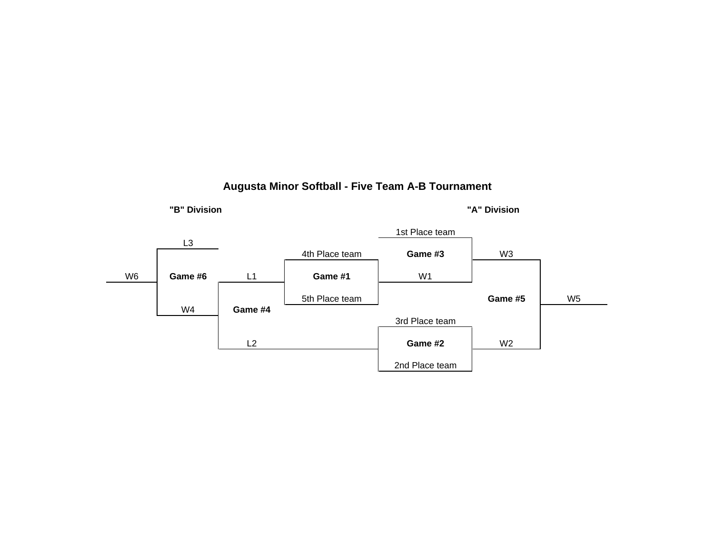#### **Augusta Minor Softball - Five Team A-B Tournament**



**"A" Division**

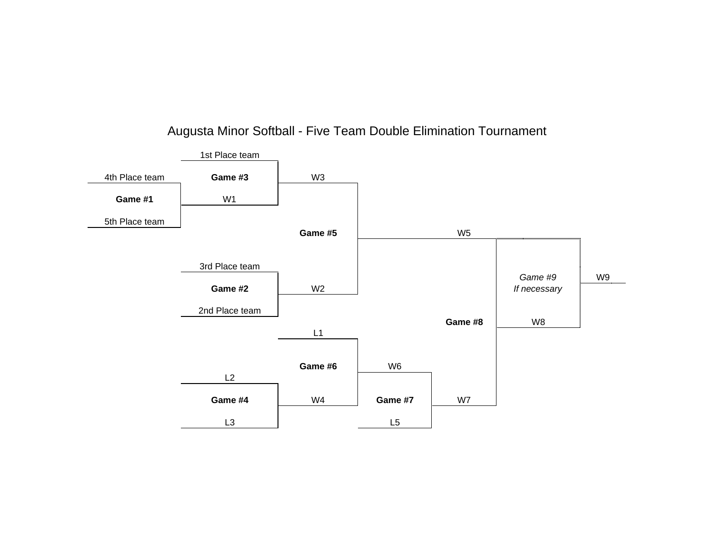

# Augusta Minor Softball - Five Team Double Elimination Tournament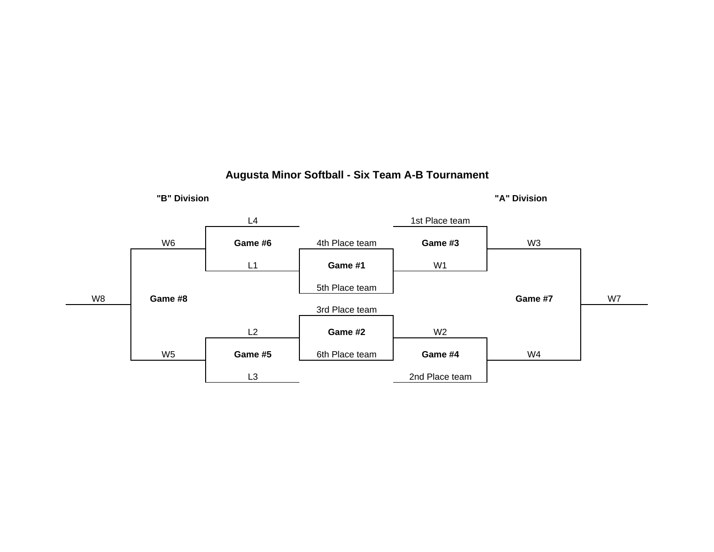

#### **Augusta Minor Softball - Six Team A-B Tournament**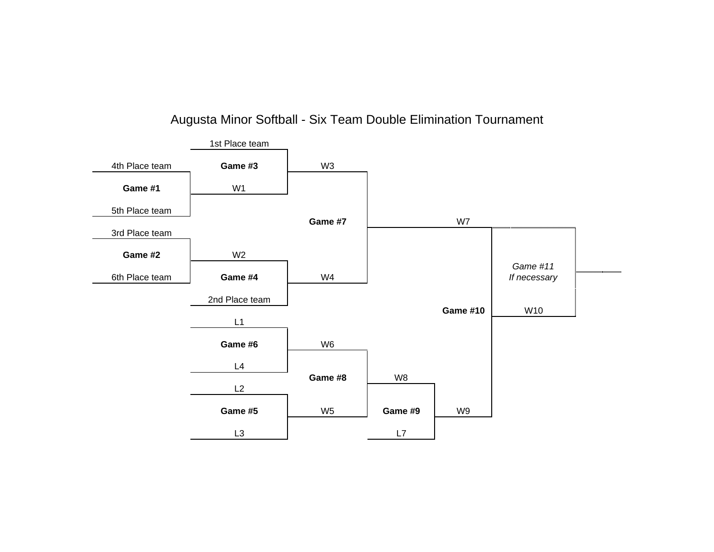## Augusta Minor Softball - Six Team Double Elimination Tournament

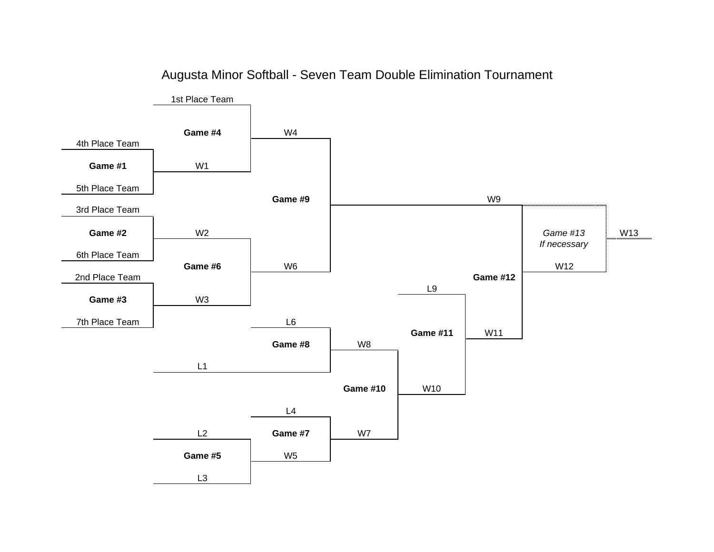

## Augusta Minor Softball - Seven Team Double Elimination Tournament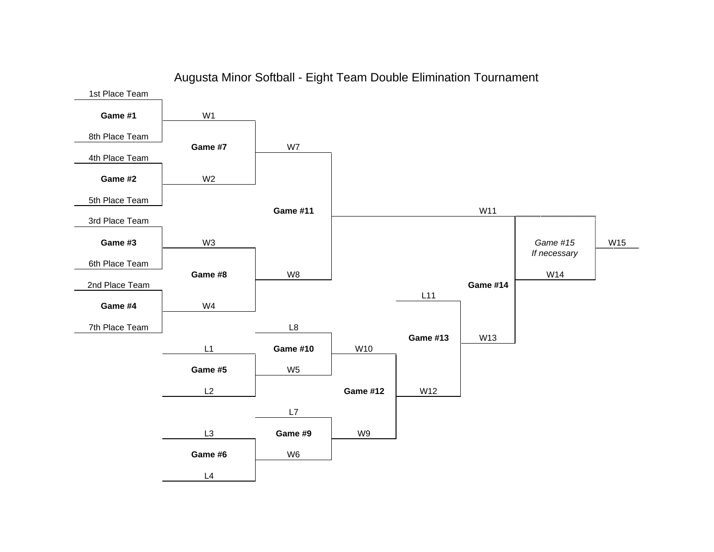

## Augusta Minor Softball - Eight Team Double Elimination Tournament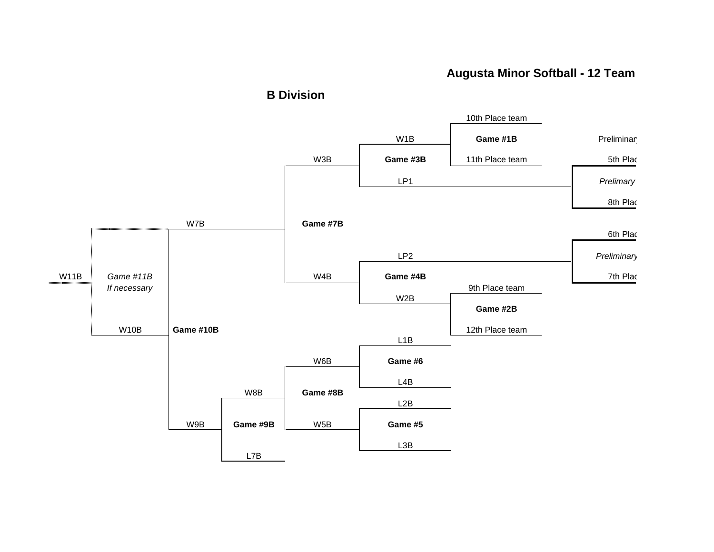## **Augusta Minor Softball - 12 Team**



**B Division**